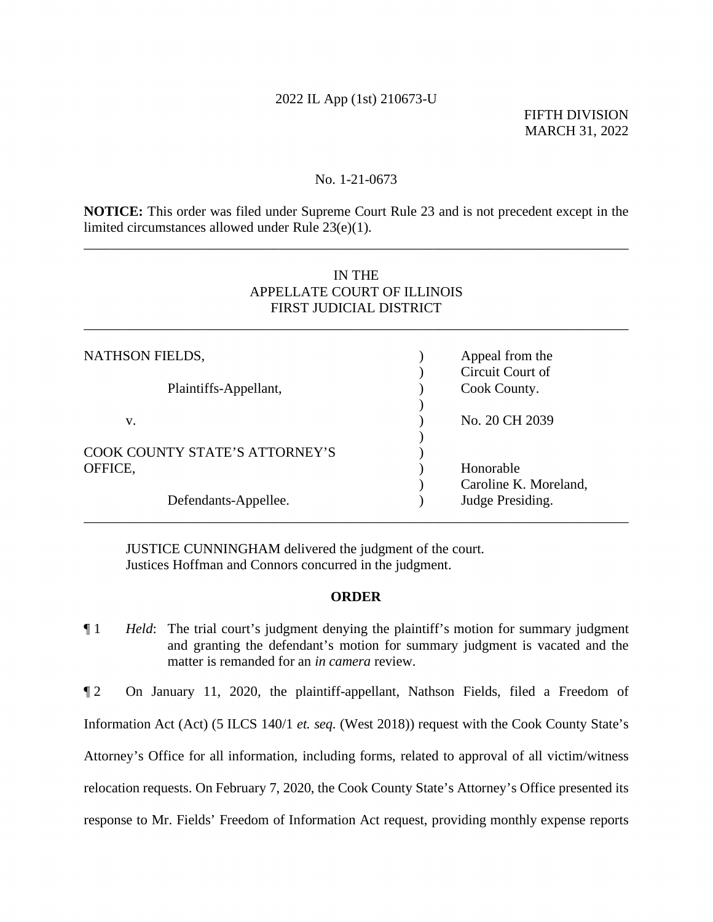## 2022 IL App (1st) 210673-U

FIFTH DIVISION MARCH 31, 2022

### No. 1-21-0673

**NOTICE:** This order was filed under Supreme Court Rule 23 and is not precedent except in the limited circumstances allowed under Rule 23(e)(1).

\_\_\_\_\_\_\_\_\_\_\_\_\_\_\_\_\_\_\_\_\_\_\_\_\_\_\_\_\_\_\_\_\_\_\_\_\_\_\_\_\_\_\_\_\_\_\_\_\_\_\_\_\_\_\_\_\_\_\_\_\_\_\_\_\_\_\_\_\_\_\_\_\_\_\_\_\_\_

# IN THE APPELLATE COURT OF ILLINOIS FIRST JUDICIAL DISTRICT

\_\_\_\_\_\_\_\_\_\_\_\_\_\_\_\_\_\_\_\_\_\_\_\_\_\_\_\_\_\_\_\_\_\_\_\_\_\_\_\_\_\_\_\_\_\_\_\_\_\_\_\_\_\_\_\_\_\_\_\_\_\_\_\_\_\_\_\_\_\_\_\_\_\_\_\_\_\_

| NATHSON FIELDS,                | Appeal from the       |
|--------------------------------|-----------------------|
|                                | Circuit Court of      |
| Plaintiffs-Appellant,          | Cook County.          |
|                                |                       |
| v.                             | No. 20 CH 2039        |
|                                |                       |
| COOK COUNTY STATE'S ATTORNEY'S |                       |
| OFFICE,                        | Honorable             |
|                                | Caroline K. Moreland, |
| Defendants-Appellee.           | Judge Presiding.      |

JUSTICE CUNNINGHAM delivered the judgment of the court. Justices Hoffman and Connors concurred in the judgment.

### **ORDER**

\_\_\_\_\_\_\_\_\_\_\_\_\_\_\_\_\_\_\_\_\_\_\_\_\_\_\_\_\_\_\_\_\_\_\_\_\_\_\_\_\_\_\_\_\_\_\_\_\_\_\_\_\_\_\_\_\_\_\_\_\_\_\_\_\_\_\_\_\_\_\_\_\_\_\_\_\_\_

¶ 1 *Held*: The trial court's judgment denying the plaintiff's motion for summary judgment and granting the defendant's motion for summary judgment is vacated and the matter is remanded for an *in camera* review.

¶ 2 On January 11, 2020, the plaintiff-appellant, Nathson Fields, filed a Freedom of Information Act (Act) (5 ILCS 140/1 *et. seq.* (West 2018)) request with the Cook County State's Attorney's Office for all information, including forms, related to approval of all victim/witness relocation requests. On February 7, 2020, the Cook County State's Attorney's Office presented its response to Mr. Fields' Freedom of Information Act request, providing monthly expense reports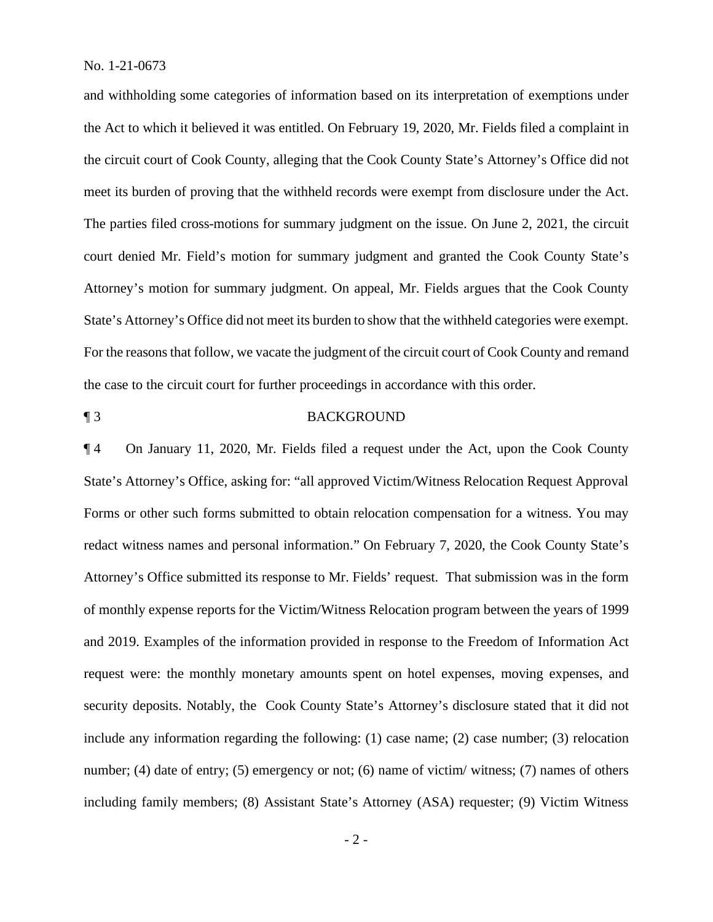No. 1-21-0673

and withholding some categories of information based on its interpretation of exemptions under the Act to which it believed it was entitled. On February 19, 2020, Mr. Fields filed a complaint in the circuit court of Cook County, alleging that the Cook County State's Attorney's Office did not meet its burden of proving that the withheld records were exempt from disclosure under the Act. The parties filed cross-motions for summary judgment on the issue. On June 2, 2021, the circuit court denied Mr. Field's motion for summary judgment and granted the Cook County State's Attorney's motion for summary judgment. On appeal, Mr. Fields argues that the Cook County State's Attorney's Office did not meet its burden to show that the withheld categories were exempt. For the reasons that follow, we vacate the judgment of the circuit court of Cook County and remand the case to the circuit court for further proceedings in accordance with this order.

## ¶ 3 BACKGROUND

¶ 4 On January 11, 2020, Mr. Fields filed a request under the Act, upon the Cook County State's Attorney's Office, asking for: "all approved Victim/Witness Relocation Request Approval Forms or other such forms submitted to obtain relocation compensation for a witness. You may redact witness names and personal information." On February 7, 2020, the Cook County State's Attorney's Office submitted its response to Mr. Fields' request. That submission was in the form of monthly expense reports for the Victim/Witness Relocation program between the years of 1999 and 2019. Examples of the information provided in response to the Freedom of Information Act request were: the monthly monetary amounts spent on hotel expenses, moving expenses, and security deposits. Notably, the Cook County State's Attorney's disclosure stated that it did not include any information regarding the following: (1) case name; (2) case number; (3) relocation number; (4) date of entry; (5) emergency or not; (6) name of victim/ witness; (7) names of others including family members; (8) Assistant State's Attorney (ASA) requester; (9) Victim Witness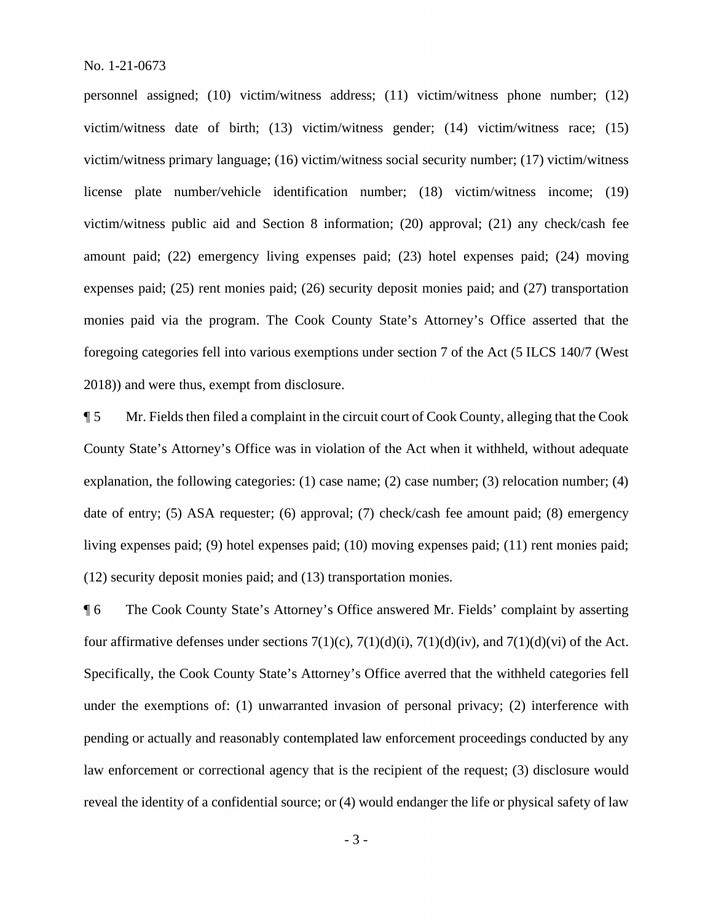personnel assigned; (10) victim/witness address; (11) victim/witness phone number; (12) victim/witness date of birth; (13) victim/witness gender; (14) victim/witness race; (15) victim/witness primary language; (16) victim/witness social security number; (17) victim/witness license plate number/vehicle identification number; (18) victim/witness income; (19) victim/witness public aid and Section 8 information; (20) approval; (21) any check/cash fee amount paid; (22) emergency living expenses paid; (23) hotel expenses paid; (24) moving expenses paid; (25) rent monies paid; (26) security deposit monies paid; and (27) transportation monies paid via the program. The Cook County State's Attorney's Office asserted that the foregoing categories fell into various exemptions under section 7 of the Act (5 ILCS 140/7 (West 2018)) and were thus, exempt from disclosure.

¶ 5 Mr. Fields then filed a complaint in the circuit court of Cook County, alleging that the Cook County State's Attorney's Office was in violation of the Act when it withheld, without adequate explanation, the following categories: (1) case name; (2) case number; (3) relocation number; (4) date of entry; (5) ASA requester; (6) approval; (7) check/cash fee amount paid; (8) emergency living expenses paid; (9) hotel expenses paid; (10) moving expenses paid; (11) rent monies paid; (12) security deposit monies paid; and (13) transportation monies.

¶ 6 The Cook County State's Attorney's Office answered Mr. Fields' complaint by asserting four affirmative defenses under sections  $7(1)(c)$ ,  $7(1)(d)(i)$ ,  $7(1)(d)(iv)$ , and  $7(1)(d)(vi)$  of the Act. Specifically, the Cook County State's Attorney's Office averred that the withheld categories fell under the exemptions of: (1) unwarranted invasion of personal privacy; (2) interference with pending or actually and reasonably contemplated law enforcement proceedings conducted by any law enforcement or correctional agency that is the recipient of the request; (3) disclosure would reveal the identity of a confidential source; or (4) would endanger the life or physical safety of law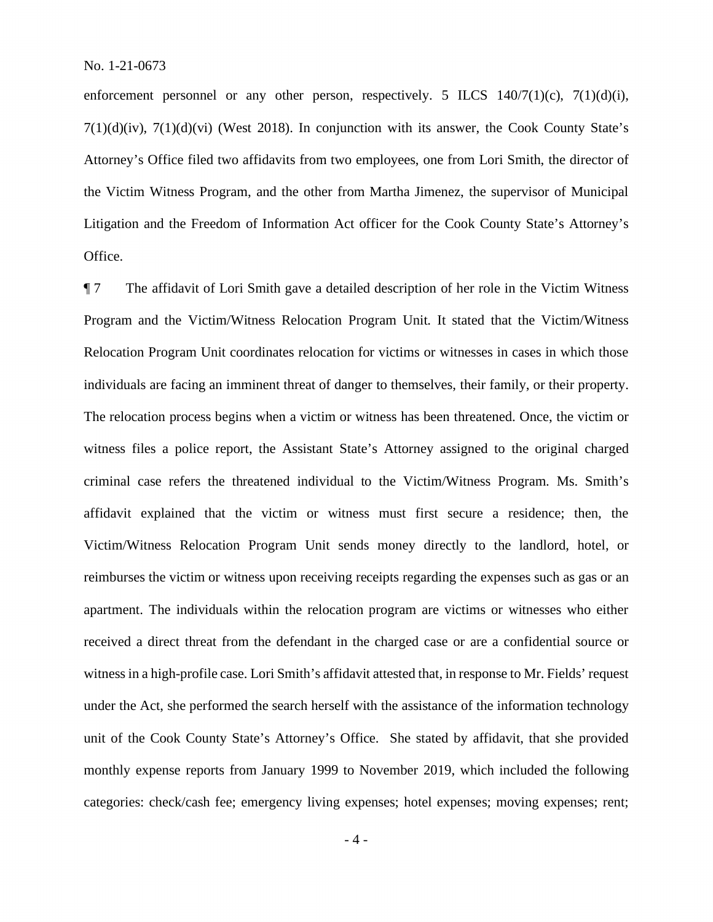enforcement personnel or any other person, respectively. 5 ILCS  $140/7(1)(c)$ ,  $7(1)(d)(i)$ ,  $7(1)(d)(iv)$ ,  $7(1)(d)(vi)$  (West 2018). In conjunction with its answer, the Cook County State's Attorney's Office filed two affidavits from two employees, one from Lori Smith, the director of the Victim Witness Program, and the other from Martha Jimenez, the supervisor of Municipal Litigation and the Freedom of Information Act officer for the Cook County State's Attorney's Office.

¶ 7 The affidavit of Lori Smith gave a detailed description of her role in the Victim Witness Program and the Victim/Witness Relocation Program Unit. It stated that the Victim/Witness Relocation Program Unit coordinates relocation for victims or witnesses in cases in which those individuals are facing an imminent threat of danger to themselves, their family, or their property. The relocation process begins when a victim or witness has been threatened. Once, the victim or witness files a police report, the Assistant State's Attorney assigned to the original charged criminal case refers the threatened individual to the Victim/Witness Program. Ms. Smith's affidavit explained that the victim or witness must first secure a residence; then, the Victim/Witness Relocation Program Unit sends money directly to the landlord, hotel, or reimburses the victim or witness upon receiving receipts regarding the expenses such as gas or an apartment. The individuals within the relocation program are victims or witnesses who either received a direct threat from the defendant in the charged case or are a confidential source or witness in a high-profile case. Lori Smith's affidavit attested that, in response to Mr. Fields' request under the Act, she performed the search herself with the assistance of the information technology unit of the Cook County State's Attorney's Office. She stated by affidavit, that she provided monthly expense reports from January 1999 to November 2019, which included the following categories: check/cash fee; emergency living expenses; hotel expenses; moving expenses; rent;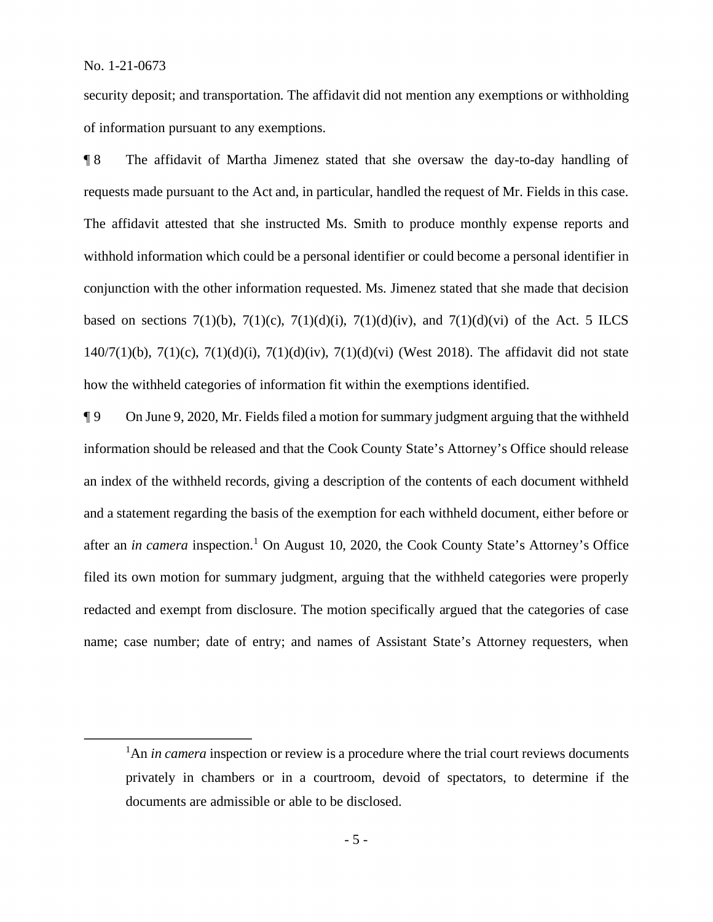security deposit; and transportation. The affidavit did not mention any exemptions or withholding of information pursuant to any exemptions.

¶ 8 The affidavit of Martha Jimenez stated that she oversaw the day-to-day handling of requests made pursuant to the Act and, in particular, handled the request of Mr. Fields in this case. The affidavit attested that she instructed Ms. Smith to produce monthly expense reports and withhold information which could be a personal identifier or could become a personal identifier in conjunction with the other information requested. Ms. Jimenez stated that she made that decision based on sections 7(1)(b), 7(1)(c), 7(1)(d)(i), 7(1)(d)(iv), and 7(1)(d)(vi) of the Act. 5 ILCS 140/7(1)(b), 7(1)(c), 7(1)(d)(i), 7(1)(d)(iv), 7(1)(d)(vi) (West 2018). The affidavit did not state how the withheld categories of information fit within the exemptions identified.

¶ 9 On June 9, 2020, Mr. Fields filed a motion for summary judgment arguing that the withheld information should be released and that the Cook County State's Attorney's Office should release an index of the withheld records, giving a description of the contents of each document withheld and a statement regarding the basis of the exemption for each withheld document, either before or after an *in camera* inspection.<sup>1</sup> On August 10, 2020, the Cook County State's Attorney's Office filed its own motion for summary judgment, arguing that the withheld categories were properly redacted and exempt from disclosure. The motion specifically argued that the categories of case name; case number; date of entry; and names of Assistant State's Attorney requesters, when

<sup>&</sup>lt;sup>1</sup>An *in camera* inspection or review is a procedure where the trial court reviews documents privately in chambers or in a courtroom, devoid of spectators, to determine if the documents are admissible or able to be disclosed.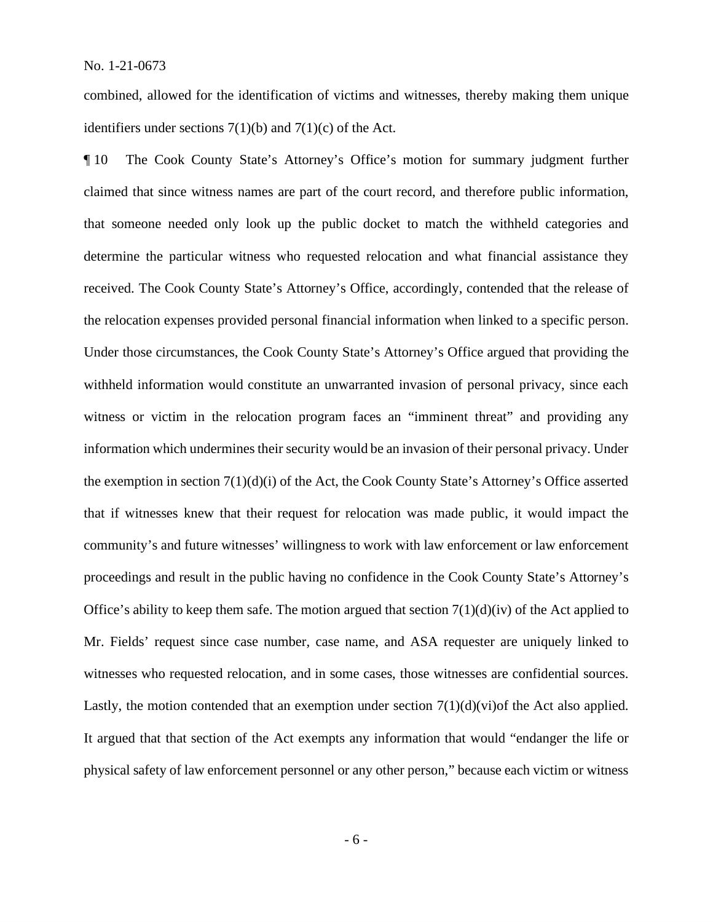combined, allowed for the identification of victims and witnesses, thereby making them unique identifiers under sections  $7(1)(b)$  and  $7(1)(c)$  of the Act.

¶ 10 The Cook County State's Attorney's Office's motion for summary judgment further claimed that since witness names are part of the court record, and therefore public information, that someone needed only look up the public docket to match the withheld categories and determine the particular witness who requested relocation and what financial assistance they received. The Cook County State's Attorney's Office, accordingly, contended that the release of the relocation expenses provided personal financial information when linked to a specific person. Under those circumstances, the Cook County State's Attorney's Office argued that providing the withheld information would constitute an unwarranted invasion of personal privacy, since each witness or victim in the relocation program faces an "imminent threat" and providing any information which undermines their security would be an invasion of their personal privacy. Under the exemption in section 7(1)(d)(i) of the Act, the Cook County State's Attorney's Office asserted that if witnesses knew that their request for relocation was made public, it would impact the community's and future witnesses' willingness to work with law enforcement or law enforcement proceedings and result in the public having no confidence in the Cook County State's Attorney's Office's ability to keep them safe. The motion argued that section  $7(1)(d)(iv)$  of the Act applied to Mr. Fields' request since case number, case name, and ASA requester are uniquely linked to witnesses who requested relocation, and in some cases, those witnesses are confidential sources. Lastly, the motion contended that an exemption under section  $7(1)(d)(vi)$  the Act also applied. It argued that that section of the Act exempts any information that would "endanger the life or physical safety of law enforcement personnel or any other person," because each victim or witness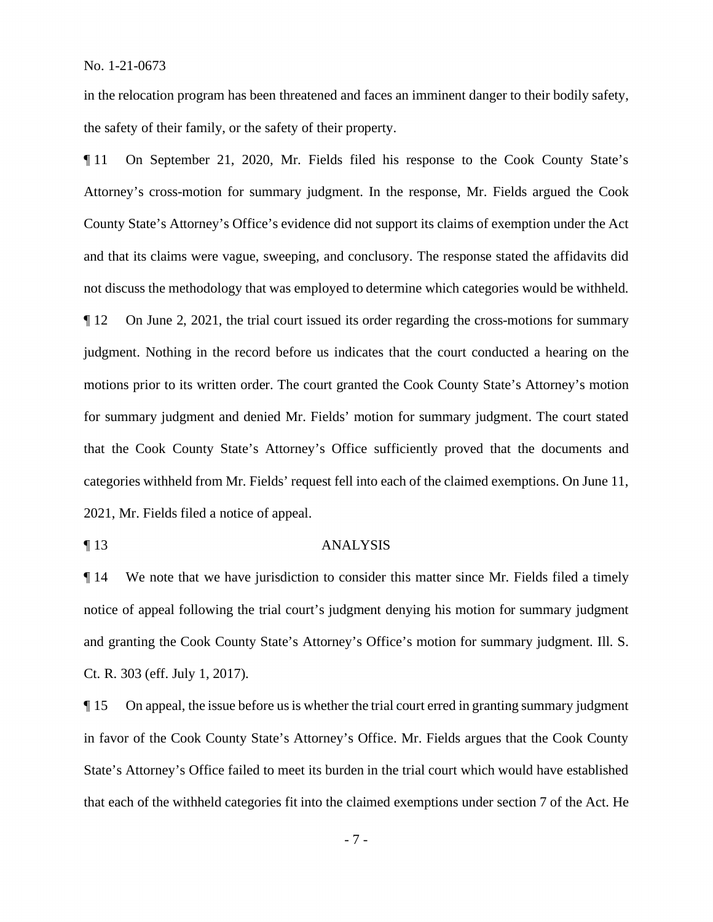in the relocation program has been threatened and faces an imminent danger to their bodily safety, the safety of their family, or the safety of their property.

¶ 11 On September 21, 2020, Mr. Fields filed his response to the Cook County State's Attorney's cross-motion for summary judgment. In the response, Mr. Fields argued the Cook County State's Attorney's Office's evidence did not support its claims of exemption under the Act and that its claims were vague, sweeping, and conclusory. The response stated the affidavits did not discuss the methodology that was employed to determine which categories would be withheld. ¶ 12 On June 2, 2021, the trial court issued its order regarding the cross-motions for summary judgment. Nothing in the record before us indicates that the court conducted a hearing on the motions prior to its written order. The court granted the Cook County State's Attorney's motion for summary judgment and denied Mr. Fields' motion for summary judgment. The court stated that the Cook County State's Attorney's Office sufficiently proved that the documents and categories withheld from Mr. Fields' request fell into each of the claimed exemptions. On June 11, 2021, Mr. Fields filed a notice of appeal.

### ¶ 13 ANALYSIS

¶ 14 We note that we have jurisdiction to consider this matter since Mr. Fields filed a timely notice of appeal following the trial court's judgment denying his motion for summary judgment and granting the Cook County State's Attorney's Office's motion for summary judgment. Ill. S. Ct. R. 303 (eff. July 1, 2017).

¶ 15 On appeal, the issue before us is whether the trial court erred in granting summary judgment in favor of the Cook County State's Attorney's Office. Mr. Fields argues that the Cook County State's Attorney's Office failed to meet its burden in the trial court which would have established that each of the withheld categories fit into the claimed exemptions under section 7 of the Act. He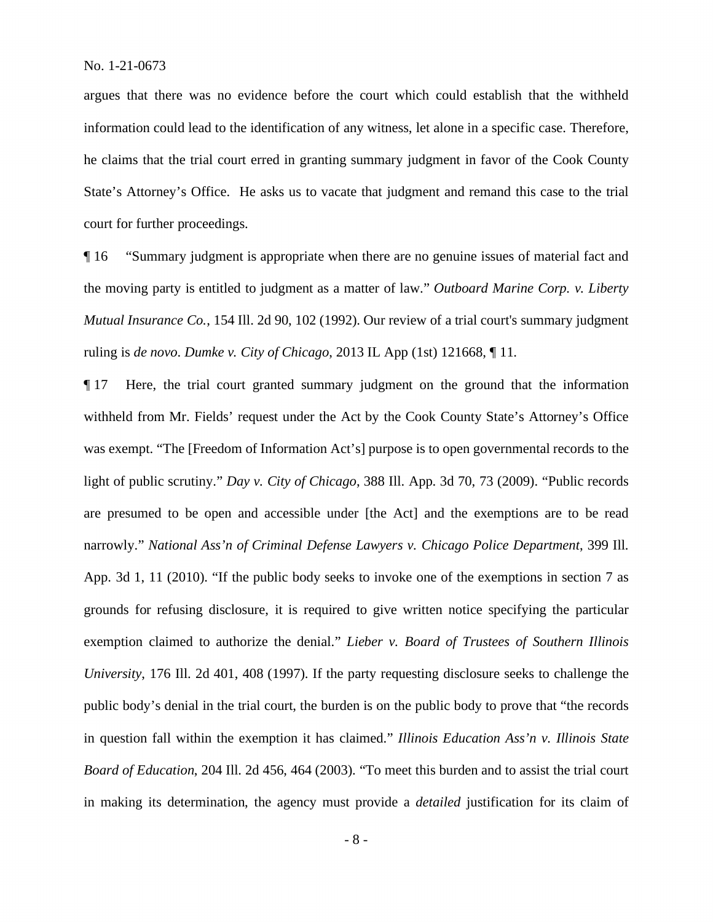argues that there was no evidence before the court which could establish that the withheld information could lead to the identification of any witness, let alone in a specific case. Therefore, he claims that the trial court erred in granting summary judgment in favor of the Cook County State's Attorney's Office. He asks us to vacate that judgment and remand this case to the trial court for further proceedings.

¶ 16 "Summary judgment is appropriate when there are no genuine issues of material fact and the moving party is entitled to judgment as a matter of law." *Outboard Marine Corp. v. Liberty Mutual Insurance Co.*, 154 Ill. 2d 90, 102 (1992). Our review of a trial court's summary judgment ruling is *de novo*. *Dumke v. City of Chicago*, 2013 IL App (1st) 121668, ¶ 11.

¶ 17 Here, the trial court granted summary judgment on the ground that the information withheld from Mr. Fields' request under the Act by the Cook County State's Attorney's Office was exempt. "The [Freedom of Information Act's] purpose is to open governmental records to the light of public scrutiny." *Day v. City of Chicago*, 388 Ill. App. 3d 70, 73 (2009). "Public records are presumed to be open and accessible under [the Act] and the exemptions are to be read narrowly." *National Ass'n of Criminal Defense Lawyers v. Chicago Police Department*, 399 Ill. App. 3d 1, 11 (2010). "If the public body seeks to invoke one of the exemptions in section 7 as grounds for refusing disclosure, it is required to give written notice specifying the particular exemption claimed to authorize the denial." *Lieber v. Board of Trustees of Southern Illinois University*, 176 Ill. 2d 401, 408 (1997). If the party requesting disclosure seeks to challenge the public body's denial in the trial court, the burden is on the public body to prove that "the records in question fall within the exemption it has claimed." *Illinois Education Ass'n v. Illinois State Board of Education*, 204 Ill. 2d 456, 464 (2003). "To meet this burden and to assist the trial court in making its determination, the agency must provide a *detailed* justification for its claim of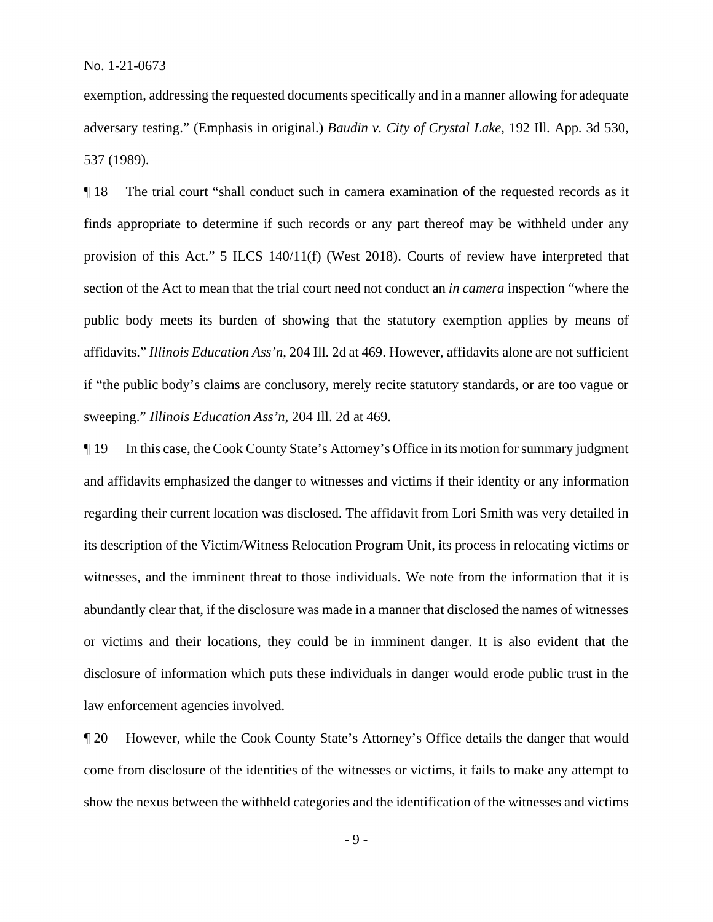exemption, addressing the requested documents specifically and in a manner allowing for adequate adversary testing." (Emphasis in original.) *Baudin v. City of Crystal Lake*, 192 Ill. App. 3d 530, 537 (1989).

¶ 18 The trial court "shall conduct such in camera examination of the requested records as it finds appropriate to determine if such records or any part thereof may be withheld under any provision of this Act." 5 ILCS 140/11(f) (West 2018). Courts of review have interpreted that section of the Act to mean that the trial court need not conduct an *in camera* inspection "where the public body meets its burden of showing that the statutory exemption applies by means of affidavits." *Illinois Education Ass'n*, 204 Ill. 2d at 469. However, affidavits alone are not sufficient if "the public body's claims are conclusory, merely recite statutory standards, or are too vague or sweeping." *Illinois Education Ass'n*, 204 Ill. 2d at 469.

¶ 19 In this case, the Cook County State's Attorney's Office in its motion for summary judgment and affidavits emphasized the danger to witnesses and victims if their identity or any information regarding their current location was disclosed. The affidavit from Lori Smith was very detailed in its description of the Victim/Witness Relocation Program Unit, its process in relocating victims or witnesses, and the imminent threat to those individuals. We note from the information that it is abundantly clear that, if the disclosure was made in a manner that disclosed the names of witnesses or victims and their locations, they could be in imminent danger. It is also evident that the disclosure of information which puts these individuals in danger would erode public trust in the law enforcement agencies involved.

¶ 20 However, while the Cook County State's Attorney's Office details the danger that would come from disclosure of the identities of the witnesses or victims, it fails to make any attempt to show the nexus between the withheld categories and the identification of the witnesses and victims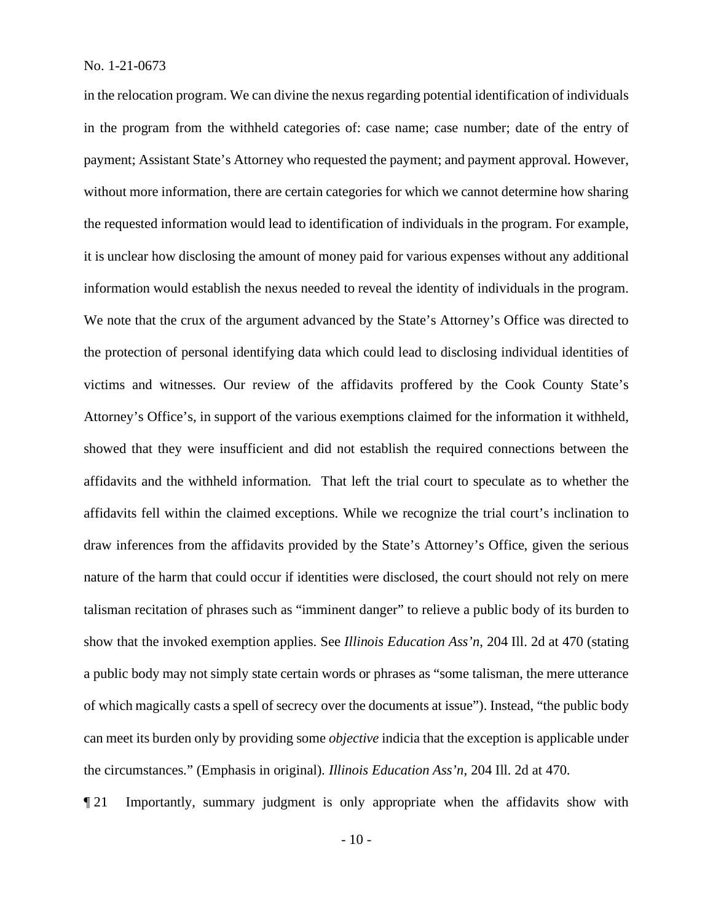in the relocation program. We can divine the nexus regarding potential identification of individuals in the program from the withheld categories of: case name; case number; date of the entry of payment; Assistant State's Attorney who requested the payment; and payment approval. However, without more information, there are certain categories for which we cannot determine how sharing the requested information would lead to identification of individuals in the program. For example, it is unclear how disclosing the amount of money paid for various expenses without any additional information would establish the nexus needed to reveal the identity of individuals in the program. We note that the crux of the argument advanced by the State's Attorney's Office was directed to the protection of personal identifying data which could lead to disclosing individual identities of victims and witnesses. Our review of the affidavits proffered by the Cook County State's Attorney's Office's, in support of the various exemptions claimed for the information it withheld, showed that they were insufficient and did not establish the required connections between the affidavits and the withheld information. That left the trial court to speculate as to whether the affidavits fell within the claimed exceptions. While we recognize the trial court's inclination to draw inferences from the affidavits provided by the State's Attorney's Office, given the serious nature of the harm that could occur if identities were disclosed, the court should not rely on mere talisman recitation of phrases such as "imminent danger" to relieve a public body of its burden to show that the invoked exemption applies. See *Illinois Education Ass'n*, 204 Ill. 2d at 470 (stating a public body may not simply state certain words or phrases as "some talisman, the mere utterance of which magically casts a spell of secrecy over the documents at issue"). Instead, "the public body can meet its burden only by providing some *objective* indicia that the exception is applicable under the circumstances." (Emphasis in original). *Illinois Education Ass'n*, 204 Ill. 2d at 470.

¶ 21 Importantly, summary judgment is only appropriate when the affidavits show with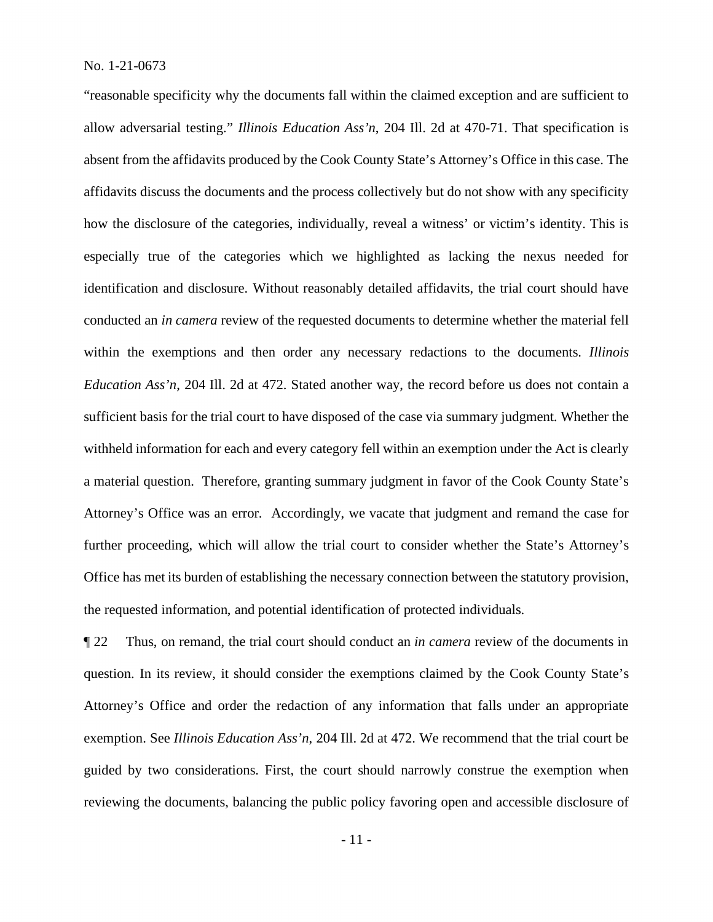"reasonable specificity why the documents fall within the claimed exception and are sufficient to allow adversarial testing." *Illinois Education Ass'n*, 204 Ill. 2d at 470-71. That specification is absent from the affidavits produced by the Cook County State's Attorney's Office in this case. The affidavits discuss the documents and the process collectively but do not show with any specificity how the disclosure of the categories, individually, reveal a witness' or victim's identity. This is especially true of the categories which we highlighted as lacking the nexus needed for identification and disclosure. Without reasonably detailed affidavits, the trial court should have conducted an *in camera* review of the requested documents to determine whether the material fell within the exemptions and then order any necessary redactions to the documents. *Illinois Education Ass'n*, 204 Ill. 2d at 472. Stated another way, the record before us does not contain a sufficient basis for the trial court to have disposed of the case via summary judgment. Whether the withheld information for each and every category fell within an exemption under the Act is clearly a material question. Therefore, granting summary judgment in favor of the Cook County State's Attorney's Office was an error. Accordingly, we vacate that judgment and remand the case for further proceeding, which will allow the trial court to consider whether the State's Attorney's Office has met its burden of establishing the necessary connection between the statutory provision, the requested information, and potential identification of protected individuals.

¶ 22 Thus, on remand, the trial court should conduct an *in camera* review of the documents in question. In its review, it should consider the exemptions claimed by the Cook County State's Attorney's Office and order the redaction of any information that falls under an appropriate exemption. See *Illinois Education Ass'n*, 204 Ill. 2d at 472. We recommend that the trial court be guided by two considerations. First, the court should narrowly construe the exemption when reviewing the documents, balancing the public policy favoring open and accessible disclosure of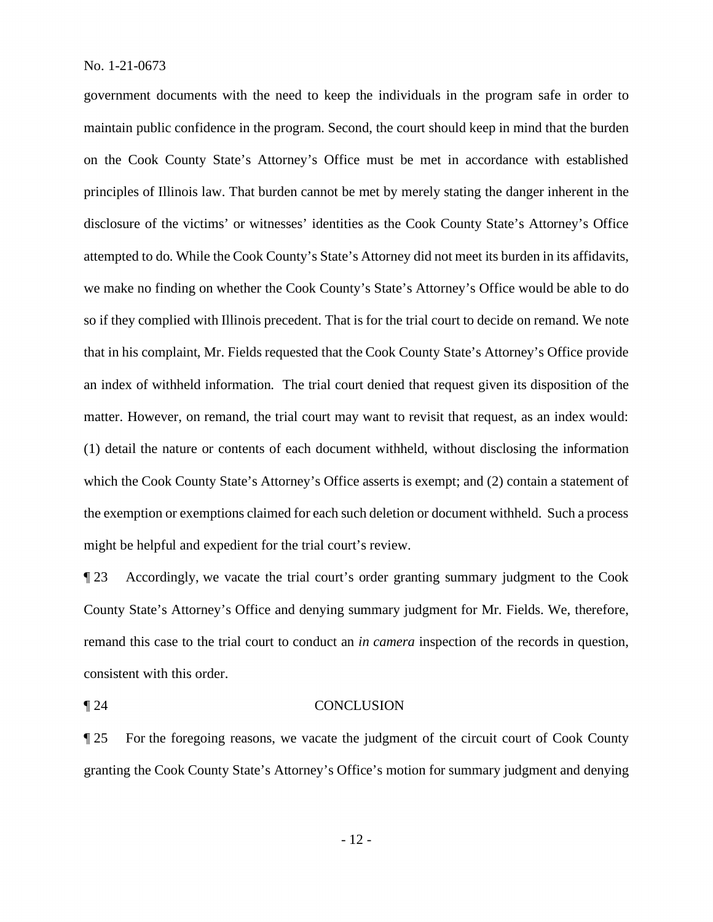government documents with the need to keep the individuals in the program safe in order to maintain public confidence in the program. Second, the court should keep in mind that the burden on the Cook County State's Attorney's Office must be met in accordance with established principles of Illinois law. That burden cannot be met by merely stating the danger inherent in the disclosure of the victims' or witnesses' identities as the Cook County State's Attorney's Office attempted to do. While the Cook County's State's Attorney did not meet its burden in its affidavits, we make no finding on whether the Cook County's State's Attorney's Office would be able to do so if they complied with Illinois precedent. That is for the trial court to decide on remand. We note that in his complaint, Mr. Fields requested that the Cook County State's Attorney's Office provide an index of withheld information. The trial court denied that request given its disposition of the matter. However, on remand, the trial court may want to revisit that request, as an index would: (1) detail the nature or contents of each document withheld, without disclosing the information which the Cook County State's Attorney's Office asserts is exempt; and (2) contain a statement of the exemption or exemptions claimed for each such deletion or document withheld. Such a process might be helpful and expedient for the trial court's review.

¶ 23 Accordingly, we vacate the trial court's order granting summary judgment to the Cook County State's Attorney's Office and denying summary judgment for Mr. Fields. We, therefore, remand this case to the trial court to conduct an *in camera* inspection of the records in question, consistent with this order.

### ¶ 24 CONCLUSION

¶ 25 For the foregoing reasons, we vacate the judgment of the circuit court of Cook County granting the Cook County State's Attorney's Office's motion for summary judgment and denying